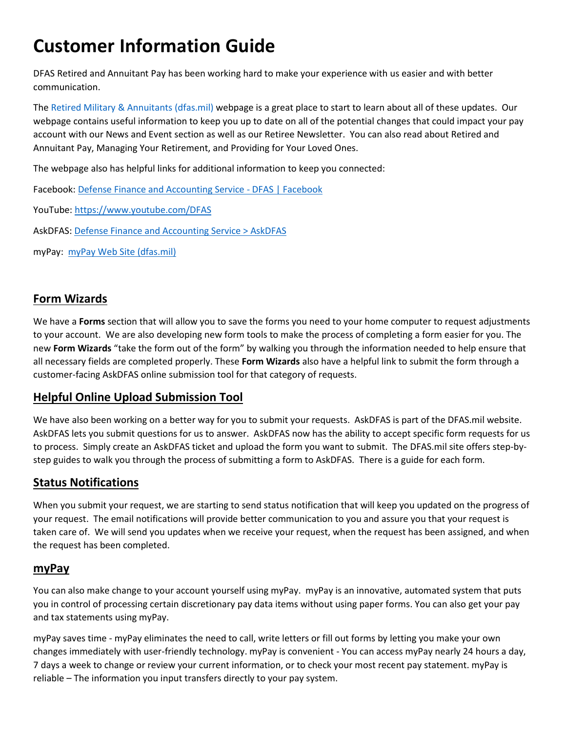# **Customer Information Guide**

DFAS Retired and Annuitant Pay has been working hard to make your experience with us easier and with better communication.

The [Retired Military & Annuitants \(dfas.mil\)](https://www.dfas.mil/RetiredMilitary/) webpage is a great place to start to learn about all of these updates. Our webpage contains useful information to keep you up to date on all of the potential changes that could impact your pay account with our News and Event section as well as our Retiree Newsletter. You can also read about Retired and Annuitant Pay, Managing Your Retirement, and Providing for Your Loved Ones.

The webpage also has helpful links for additional information to keep you connected:

Facebook: [Defense Finance and Accounting Service -](https://www.facebook.com/DFASOfficial?bcsi-ac-f7583282146b8763=2ED11C4C00000002XtAtTEJAnMag2Zy%20CrRCLlhWW%20u3aQAAAgAAABxCqAGEAwAAAAAAAC6GNAwAAAAA) DFAS | Facebook

YouTube: <https://www.youtube.com/DFAS>

AskDFAS: [Defense Finance and Accounting Service > AskDFAS](https://www.dfas.mil/dfas/AskDFAS/)

myPay: [myPay Web Site \(dfas.mil\)](https://mypay.dfas.mil/#/)

### **Form Wizards**

We have a **Forms** section that will allow you to save the forms you need to your home computer to request adjustments to your account. We are also developing new form tools to make the process of completing a form easier for you. The new **Form Wizards** "take the form out of the form" by walking you through the information needed to help ensure that all necessary fields are completed properly. These **Form Wizards** also have a helpful link to submit the form through a customer-facing AskDFAS online submission tool for that category of requests.

### **Helpful Online Upload Submission Tool**

We have also been working on a better way for you to submit your requests. AskDFAS is part of the DFAS.mil website. AskDFAS lets you submit questions for us to answer. AskDFAS now has the ability to accept specific form requests for us to process. Simply create an AskDFAS ticket and upload the form you want to submit. The DFAS.mil site offers step-bystep guides to walk you through the process of submitting a form to AskDFAS. There is a guide for each form.

### **Status Notifications**

When you submit your request, we are starting to send status notification that will keep you updated on the progress of your request. The email notifications will provide better communication to you and assure you that your request is taken care of. We will send you updates when we receive your request, when the request has been assigned, and when the request has been completed.

### **myPay**

You can also make change to your account yourself using myPay.myPay is an innovative, automated system that puts you in control of processing certain discretionary pay data items without using paper forms. You can also get your pay and tax statements using myPay.

myPay saves time - myPay eliminates the need to call, write letters or fill out forms by letting you make your own changes immediately with user-friendly technology. myPay is convenient - You can access myPay nearly 24 hours a day, 7 days a week to change or review your current information, or to check your most recent pay statement. myPay is reliable – The information you input transfers directly to your pay system.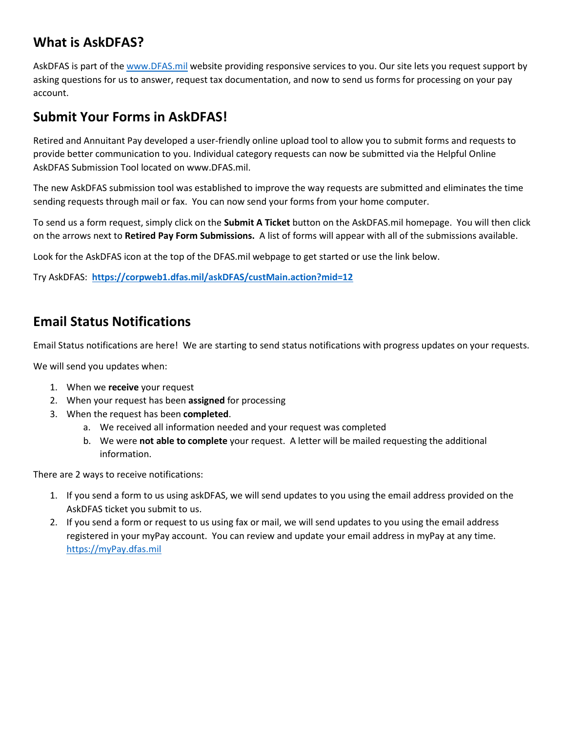# **What is AskDFAS?**

AskDFAS is part of the [www.DFAS.mil](http://www.dfas.mil/) website providing responsive services to you. Our site lets you request support by asking questions for us to answer, request tax documentation, and now to send us forms for processing on your pay account.

# **Submit Your Forms in AskDFAS!**

Retired and Annuitant Pay developed a user-friendly online upload tool to allow you to submit forms and requests to provide better communication to you. Individual category requests can now be submitted via the Helpful Online AskDFAS Submission Tool located on www.DFAS.mil.

The new AskDFAS submission tool was established to improve the way requests are submitted and eliminates the time sending requests through mail or fax. You can now send your forms from your home computer.

To send us a form request, simply click on the **Submit A Ticket** button on the AskDFAS.mil homepage. You will then click on the arrows next to **Retired Pay Form Submissions.** A list of forms will appear with all of the submissions available.

Look for the AskDFAS icon at the top of the DFAS.mil webpage to get started or use the link below.

Try AskDFAS: **<https://corpweb1.dfas.mil/askDFAS/custMain.action?mid=12>**

# **Email Status Notifications**

Email Status notifications are here! We are starting to send status notifications with progress updates on your requests.

We will send you updates when:

- 1. When we **receive** your request
- 2. When your request has been **assigned** for processing
- 3. When the request has been **completed**.
	- a. We received all information needed and your request was completed
	- b. We were **not able to complete** your request. A letter will be mailed requesting the additional information.

There are 2 ways to receive notifications:

- 1. If you send a form to us using askDFAS, we will send updates to you using the email address provided on the AskDFAS ticket you submit to us.
- 2. If you send a form or request to us using fax or mail, we will send updates to you using the email address registered in your myPay account. You can review and update your email address in myPay at any time. [https://myPay.dfas.mil](https://mypay.dfas.mil/)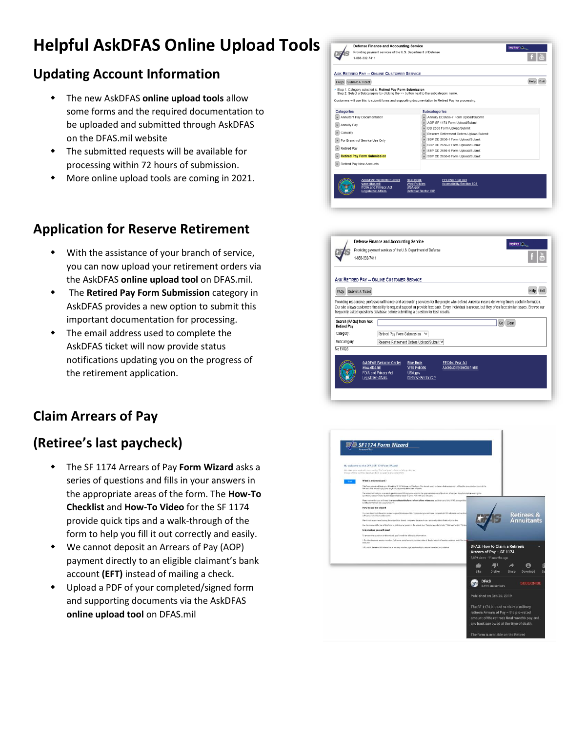# **Helpful AskDFAS Online Upload Tools**

# **Updating Account Information**

- The new AskDFAS **online upload tools** allow some forms and the required documentation to be uploaded and submitted through AskDFAS on the DFAS.mil website
- The submitted requests will be available for processing within 72 hours of submission.
- More online upload tools are coming in 2021.

# **Application for Reserve Retirement**

- With the assistance of your branch of service, you can now upload your retirement orders via the AskDFAS **online upload tool** on DFAS.mil.
- The **Retired Pay Form Submission** category in AskDFAS provides a new option to submit this important documentation for processing.
- The email address used to complete the AskDFAS ticket will now provide status notifications updating you on the progress of the retirement application.

# **Claim Arrears of Pay**

# **(Retiree's last paycheck)**

- The SF 1174 Arrears of Pay **Form Wizard** asks a series of questions and fills in your answers in the appropriate areas of the form. The **How-To Checklist** and **How-To Video** for the SF 1174 provide quick tips and a walk-through of the form to help you fill it out correctly and easily.
- We cannot deposit an Arrears of Pay (AOP) payment directly to an eligible claimant's bank account **(EFT)** instead of mailing a check.
- Upload a PDF of your completed/signed form and supporting documents via the AskDFAS **online upload tool** on DFAS.mil





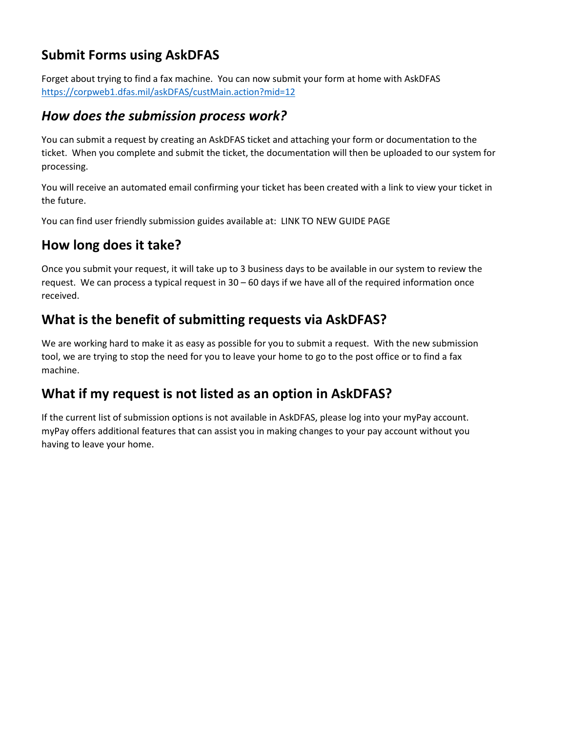# **Submit Forms using AskDFAS**

Forget about trying to find a fax machine. You can now submit your form at home with AskDFAS <https://corpweb1.dfas.mil/askDFAS/custMain.action?mid=12>

## *How does the submission process work?*

You can submit a request by creating an AskDFAS ticket and attaching your form or documentation to the ticket. When you complete and submit the ticket, the documentation will then be uploaded to our system for processing.

You will receive an automated email confirming your ticket has been created with a link to view your ticket in the future.

You can find user friendly submission guides available at: LINK TO NEW GUIDE PAGE

# **How long does it take?**

Once you submit your request, it will take up to 3 business days to be available in our system to review the request. We can process a typical request in 30 – 60 days if we have all of the required information once received.

# **What is the benefit of submitting requests via AskDFAS?**

We are working hard to make it as easy as possible for you to submit a request. With the new submission tool, we are trying to stop the need for you to leave your home to go to the post office or to find a fax machine.

# **What if my request is not listed as an option in AskDFAS?**

If the current list of submission options is not available in AskDFAS, please log into your myPay account. myPay offers additional features that can assist you in making changes to your pay account without you having to leave your home.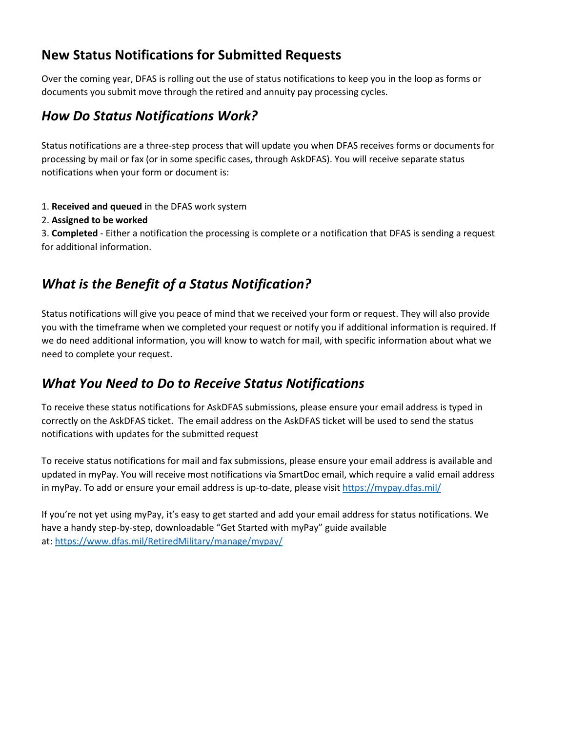# **New Status Notifications for Submitted Requests**

Over the coming year, DFAS is rolling out the use of status notifications to keep you in the loop as forms or documents you submit move through the retired and annuity pay processing cycles.

# *How Do Status Notifications Work?*

Status notifications are a three-step process that will update you when DFAS receives forms or documents for processing by mail or fax (or in some specific cases, through AskDFAS). You will receive separate status notifications when your form or document is:

- 1. **Received and queued** in the DFAS work system
- 2. **Assigned to be worked**

3. **Completed** - Either a notification the processing is complete or a notification that DFAS is sending a request for additional information.

# *What is the Benefit of a Status Notification?*

Status notifications will give you peace of mind that we received your form or request. They will also provide you with the timeframe when we completed your request or notify you if additional information is required. If we do need additional information, you will know to watch for mail, with specific information about what we need to complete your request.

# *What You Need to Do to Receive Status Notifications*

To receive these status notifications for AskDFAS submissions, please ensure your email address is typed in correctly on the AskDFAS ticket. The email address on the AskDFAS ticket will be used to send the status notifications with updates for the submitted request

To receive status notifications for mail and fax submissions, please ensure your email address is available and updated in myPay. You will receive most notifications via SmartDoc email, which require a valid email address in myPay. To add or ensure your email address is up-to-date, please visi[t https://mypay.dfas.mil/](https://mypay.dfas.mil/)

If you're not yet using myPay, it's easy to get started and add your email address for status notifications. We have a handy step-by-step, downloadable "Get Started with myPay" guide available at: <https://www.dfas.mil/RetiredMilitary/manage/mypay/>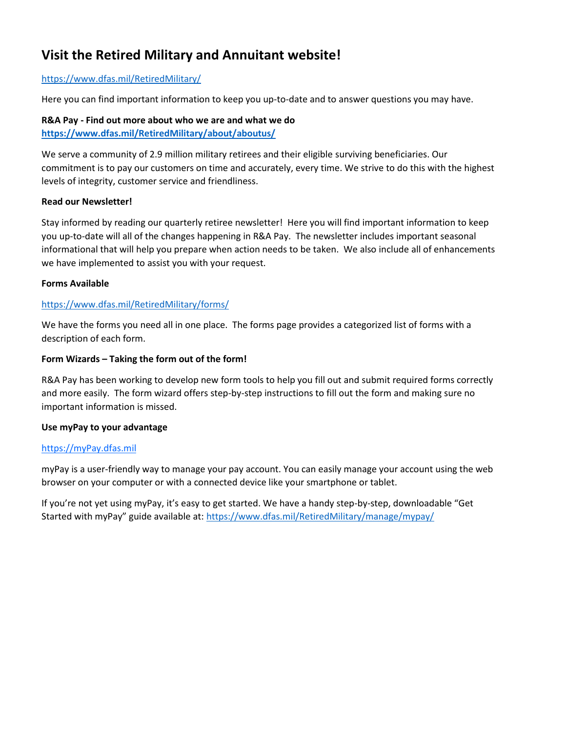# **Visit the Retired Military and Annuitant website!**

### <https://www.dfas.mil/RetiredMilitary/>

Here you can find important information to keep you up-to-date and to answer questions you may have.

### **R&A Pay - Find out more about who we are and what we do <https://www.dfas.mil/RetiredMilitary/about/aboutus/>**

We serve a community of 2.9 million military retirees and their eligible surviving beneficiaries. Our commitment is to pay our customers on time and accurately, every time. We strive to do this with the highest levels of integrity, customer service and friendliness.

### **Read our Newsletter!**

Stay informed by reading our quarterly retiree newsletter! Here you will find important information to keep you up-to-date will all of the changes happening in R&A Pay. The newsletter includes important seasonal informational that will help you prepare when action needs to be taken. We also include all of enhancements we have implemented to assist you with your request.

### **Forms Available**

### <https://www.dfas.mil/RetiredMilitary/forms/>

We have the forms you need all in one place. The forms page provides a categorized list of forms with a description of each form.

### **Form Wizards – Taking the form out of the form!**

R&A Pay has been working to develop new form tools to help you fill out and submit required forms correctly and more easily. The form wizard offers step-by-step instructions to fill out the form and making sure no important information is missed.

### **Use myPay to your advantage**

### [https://myPay.dfas.mil](https://mypay.dfas.mil/)

myPay is a user-friendly way to manage your pay account. You can easily manage your account using the web browser on your computer or with a connected device like your smartphone or tablet.

If you're not yet using myPay, it's easy to get started. We have a handy step-by-step, downloadable "Get Started with myPay" guide available at: <https://www.dfas.mil/RetiredMilitary/manage/mypay/>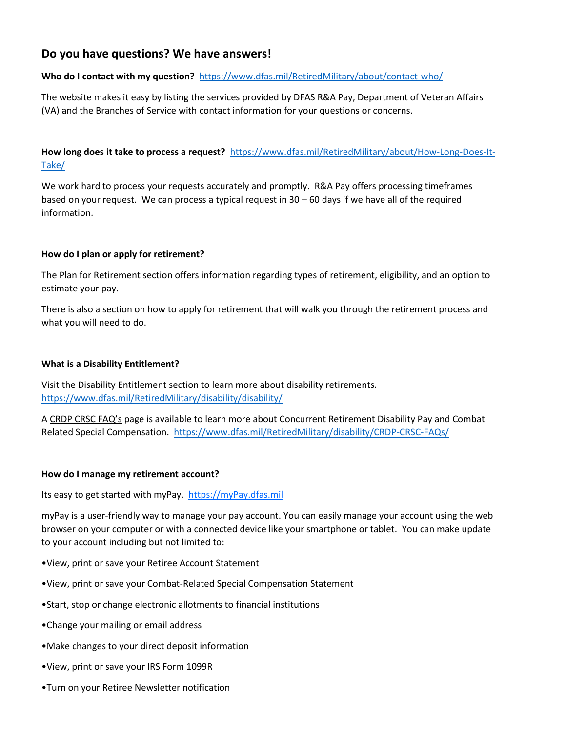### **Do you have questions? We have answers!**

### **Who do I contact with my question?**<https://www.dfas.mil/RetiredMilitary/about/contact-who/>

The website makes it easy by listing the services provided by DFAS R&A Pay, Department of Veteran Affairs (VA) and the Branches of Service with contact information for your questions or concerns.

**How long does it take to process a request?** [https://www.dfas.mil/RetiredMilitary/about/How-Long-Does-It-](https://www.dfas.mil/RetiredMilitary/about/How-Long-Does-It-Take/)[Take/](https://www.dfas.mil/RetiredMilitary/about/How-Long-Does-It-Take/)

We work hard to process your requests accurately and promptly. R&A Pay offers processing timeframes based on your request. We can process a typical request in 30 – 60 days if we have all of the required information.

### **How do I plan or apply for retirement?**

The Plan for Retirement section offers information regarding types of retirement, eligibility, and an option to estimate your pay.

There is also a section on how to apply for retirement that will walk you through the retirement process and what you will need to do.

### **What is a Disability Entitlement?**

Visit the Disability Entitlement section to learn more about disability retirements. <https://www.dfas.mil/RetiredMilitary/disability/disability/>

A CRDP CRSC FAQ's page is available to learn more about Concurrent Retirement Disability Pay and Combat Related Special Compensation. <https://www.dfas.mil/RetiredMilitary/disability/CRDP-CRSC-FAQs/>

### **How do I manage my retirement account?**

Its easy to get started with myPay. [https://myPay.dfas.mil](https://mypay.dfas.mil/)

myPay is a user-friendly way to manage your pay account. You can easily manage your account using the web browser on your computer or with a connected device like your smartphone or tablet. You can make update to your account including but not limited to:

- •View, print or save your Retiree Account Statement
- •View, print or save your Combat-Related Special Compensation Statement
- •Start, stop or change electronic allotments to financial institutions
- •Change your mailing or email address
- •Make changes to your direct deposit information
- •View, print or save your IRS Form 1099R
- •Turn on your Retiree Newsletter notification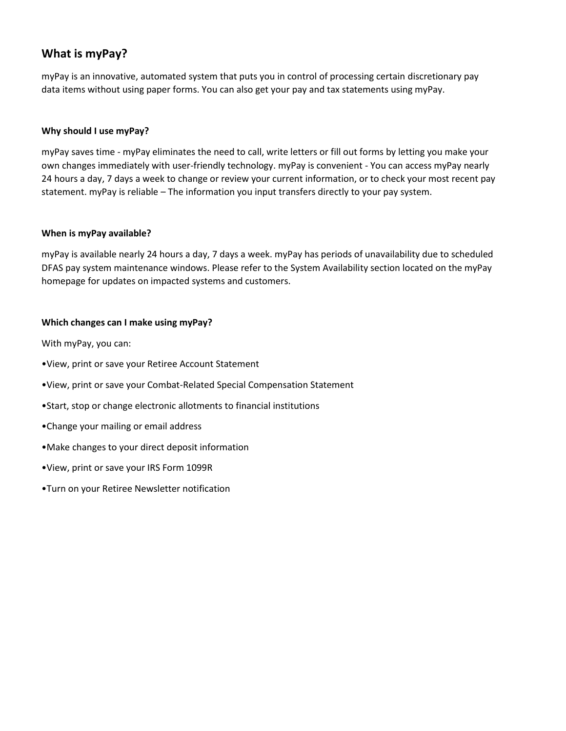### **What is myPay?**

myPay is an innovative, automated system that puts you in control of processing certain discretionary pay data items without using paper forms. You can also get your pay and tax statements using myPay.

### **Why should I use myPay?**

myPay saves time - myPay eliminates the need to call, write letters or fill out forms by letting you make your own changes immediately with user-friendly technology. myPay is convenient - You can access myPay nearly 24 hours a day, 7 days a week to change or review your current information, or to check your most recent pay statement. myPay is reliable – The information you input transfers directly to your pay system.

### **When is myPay available?**

myPay is available nearly 24 hours a day, 7 days a week. myPay has periods of unavailability due to scheduled DFAS pay system maintenance windows. Please refer to the System Availability section located on the myPay homepage for updates on impacted systems and customers.

### **Which changes can I make using myPay?**

With myPay, you can:

- •View, print or save your Retiree Account Statement
- •View, print or save your Combat-Related Special Compensation Statement
- •Start, stop or change electronic allotments to financial institutions
- •Change your mailing or email address
- •Make changes to your direct deposit information
- •View, print or save your IRS Form 1099R
- •Turn on your Retiree Newsletter notification